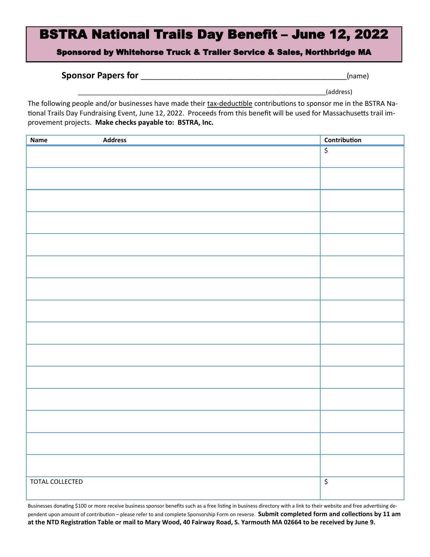# BSTRA National Trails Day Benefit – June 12, 2022

Sponsored by Whitehorse Truck & Trailer Service & Sales, Northbridge MA

### **Sponsor Papers for** \_\_\_\_\_\_\_\_\_\_\_\_\_\_\_\_\_\_\_\_\_\_\_\_\_\_\_\_\_\_\_\_\_\_\_\_\_\_\_\_\_\_\_\_\_\_\_\_\_(name)

\_\_\_\_\_\_\_\_\_\_\_\_\_\_\_\_\_\_\_\_\_\_\_\_\_\_\_\_\_\_\_\_\_\_\_\_\_\_\_\_\_\_\_\_\_\_\_\_\_\_\_\_\_\_\_\_\_\_\_\_\_\_\_\_\_\_\_\_\_\_\_(address)

The following people and/or businesses have made their tax-deductible contributions to sponsor me in the BSTRA National Trails Day Fundraising Event, June 12, 2022. Proceeds from this benefit will be used for Massachusetts trail improvement projects. **Make checks payable to: BSTRA, Inc.**

| <b>Address</b><br><b>Name</b> | <b>Contribution</b>                 |
|-------------------------------|-------------------------------------|
|                               | $\overline{\xi}$                    |
|                               |                                     |
|                               |                                     |
|                               |                                     |
|                               |                                     |
|                               |                                     |
|                               |                                     |
|                               |                                     |
|                               |                                     |
|                               |                                     |
|                               |                                     |
|                               |                                     |
|                               |                                     |
|                               |                                     |
|                               |                                     |
|                               |                                     |
|                               |                                     |
|                               |                                     |
|                               |                                     |
|                               |                                     |
|                               |                                     |
|                               |                                     |
|                               |                                     |
|                               |                                     |
|                               |                                     |
|                               |                                     |
| TOTAL COLLECTED               | $\overline{\boldsymbol{\varsigma}}$ |
|                               |                                     |

Businesses donating \$100 or more receive business sponsor benefits such as a free listing in business directory with a link to their website and free advertising dependent upon amount of contribution – please refer to and complete Sponsorship Form on reverse. **Submit completed form and collections by 11 am at the NTD Registration Table or mail to Mary Wood, 40 Fairway Road, S. Yarmouth MA 02664 to be received by June 9.**